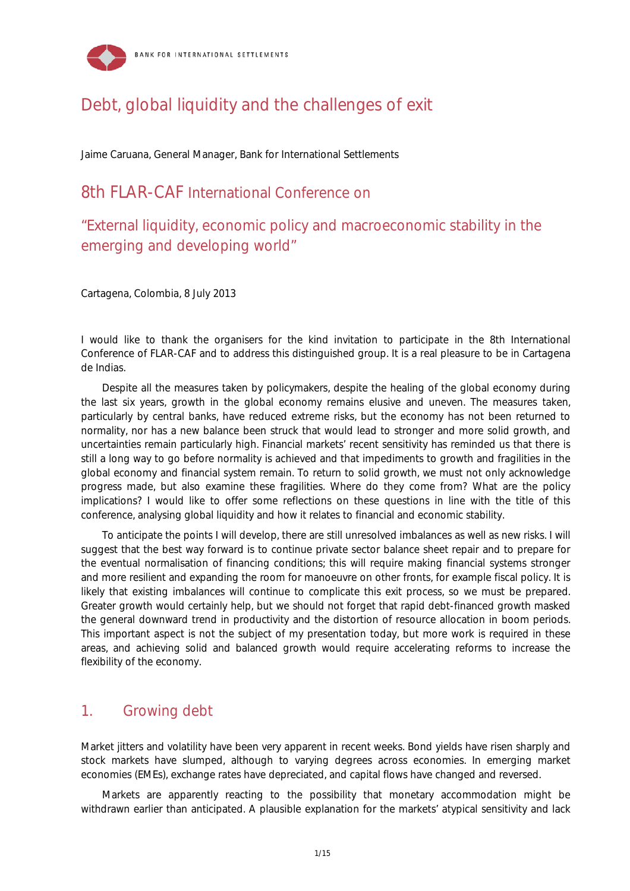

# Debt, global liquidity and the challenges of exit

Jaime Caruana, General Manager, Bank for International Settlements

# 8th FLAR-CAF International Conference on

"External liquidity, economic policy and macroeconomic stability in the emerging and developing world"

Cartagena, Colombia, 8 July 2013

I would like to thank the organisers for the kind invitation to participate in the 8th International Conference of FLAR-CAF and to address this distinguished group. It is a real pleasure to be in Cartagena de Indias.

Despite all the measures taken by policymakers, despite the healing of the global economy during the last six years, growth in the global economy remains elusive and uneven. The measures taken, particularly by central banks, have reduced extreme risks, but the economy has not been returned to normality, nor has a new balance been struck that would lead to stronger and more solid growth, and uncertainties remain particularly high. Financial markets' recent sensitivity has reminded us that there is still a long way to go before normality is achieved and that impediments to growth and fragilities in the global economy and financial system remain. To return to solid growth, we must not only acknowledge progress made, but also examine these fragilities. Where do they come from? What are the policy implications? I would like to offer some reflections on these questions in line with the title of this conference, analysing global liquidity and how it relates to financial and economic stability.

To anticipate the points I will develop, there are still unresolved imbalances as well as new risks. I will suggest that the best way forward is to continue private sector balance sheet repair and to prepare for the eventual normalisation of financing conditions; this will require making financial systems stronger and more resilient and expanding the room for manoeuvre on other fronts, for example fiscal policy. It is likely that existing imbalances will continue to complicate this exit process, so we must be prepared. Greater growth would certainly help, but we should not forget that rapid debt-financed growth masked the general downward trend in productivity and the distortion of resource allocation in boom periods. This important aspect is not the subject of my presentation today, but more work is required in these areas, and achieving solid and balanced growth would require accelerating reforms to increase the flexibility of the economy.

# 1. Growing debt

Market jitters and volatility have been very apparent in recent weeks. Bond yields have risen sharply and stock markets have slumped, although to varying degrees across economies. In emerging market economies (EMEs), exchange rates have depreciated, and capital flows have changed and reversed.

Markets are apparently reacting to the possibility that monetary accommodation might be withdrawn earlier than anticipated. A plausible explanation for the markets' atypical sensitivity and lack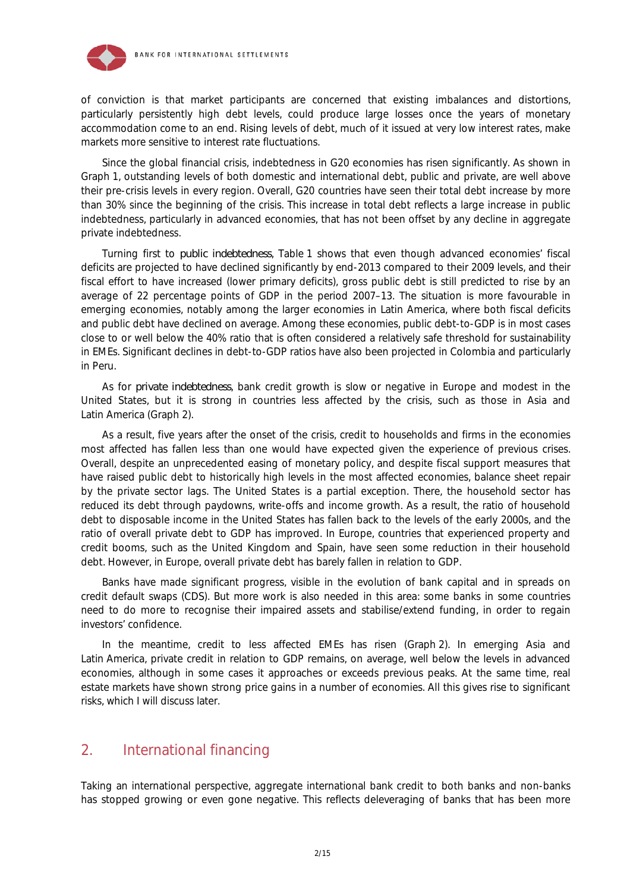

of conviction is that market participants are concerned that existing imbalances and distortions, particularly persistently high debt levels, could produce large losses once the years of monetary accommodation come to an end. Rising levels of debt, much of it issued at very low interest rates, make markets more sensitive to interest rate fluctuations.

Since the global financial crisis, indebtedness in G20 economies has risen significantly. As shown in Graph 1, outstanding levels of both domestic and international debt, public and private, are well above their pre-crisis levels in every region. Overall, G20 countries have seen their total debt increase by more than 30% since the beginning of the crisis. This increase in total debt reflects a large increase in public indebtedness, particularly in advanced economies, that has not been offset by any decline in aggregate private indebtedness.

Turning first to *public indebtedness*, Table 1 shows that even though advanced economies' fiscal deficits are projected to have declined significantly by end-2013 compared to their 2009 levels, and their fiscal effort to have increased (lower primary deficits), gross public debt is still predicted to rise by an average of 22 percentage points of GDP in the period 2007–13. The situation is more favourable in emerging economies, notably among the larger economies in Latin America, where both fiscal deficits and public debt have declined on average. Among these economies, public debt-to-GDP is in most cases close to or well below the 40% ratio that is often considered a relatively safe threshold for sustainability in EMEs. Significant declines in debt-to-GDP ratios have also been projected in Colombia and particularly in Peru.

As for *private indebtedness*, bank credit growth is slow or negative in Europe and modest in the United States, but it is strong in countries less affected by the crisis, such as those in Asia and Latin America (Graph 2).

As a result, five years after the onset of the crisis, credit to households and firms in the economies most affected has fallen less than one would have expected given the experience of previous crises. Overall, despite an unprecedented easing of monetary policy, and despite fiscal support measures that have raised public debt to historically high levels in the most affected economies, balance sheet repair by the private sector lags. The United States is a partial exception. There, the household sector has reduced its debt through paydowns, write-offs and income growth. As a result, the ratio of household debt to disposable income in the United States has fallen back to the levels of the early 2000s, and the ratio of overall private debt to GDP has improved. In Europe, countries that experienced property and credit booms, such as the United Kingdom and Spain, have seen some reduction in their household debt. However, in Europe, overall private debt has barely fallen in relation to GDP.

Banks have made significant progress, visible in the evolution of bank capital and in spreads on credit default swaps (CDS). But more work is also needed in this area: some banks in some countries need to do more to recognise their impaired assets and stabilise/extend funding, in order to regain investors' confidence.

In the meantime, credit to less affected EMEs has risen (Graph 2). In emerging Asia and Latin America, private credit in relation to GDP remains, on average, well below the levels in advanced economies, although in some cases it approaches or exceeds previous peaks. At the same time, real estate markets have shown strong price gains in a number of economies. All this gives rise to significant risks, which I will discuss later.

# 2. International financing

Taking an international perspective, aggregate international bank credit to both banks and non-banks has stopped growing or even gone negative. This reflects deleveraging of banks that has been more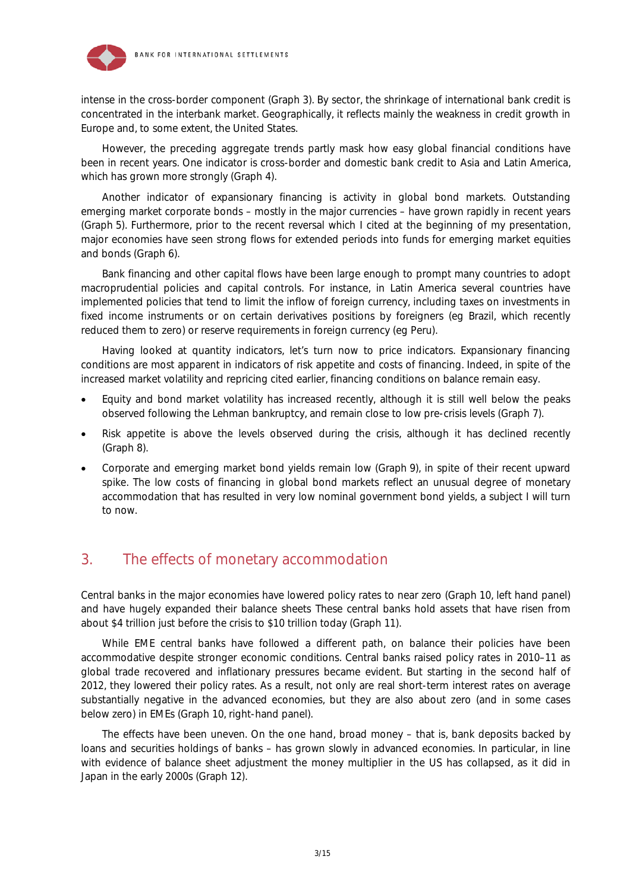

intense in the cross-border component (Graph 3). By sector, the shrinkage of international bank credit is concentrated in the interbank market. Geographically, it reflects mainly the weakness in credit growth in Europe and, to some extent, the United States.

However, the preceding aggregate trends partly mask how easy global financial conditions have been in recent years. One indicator is cross-border and domestic bank credit to Asia and Latin America, which has grown more strongly (Graph 4).

Another indicator of expansionary financing is activity in global bond markets. Outstanding emerging market corporate bonds – mostly in the major currencies – have grown rapidly in recent years (Graph 5). Furthermore, prior to the recent reversal which I cited at the beginning of my presentation, major economies have seen strong flows for extended periods into funds for emerging market equities and bonds (Graph 6).

Bank financing and other capital flows have been large enough to prompt many countries to adopt macroprudential policies and capital controls. For instance, in Latin America several countries have implemented policies that tend to limit the inflow of foreign currency, including taxes on investments in fixed income instruments or on certain derivatives positions by foreigners (eg Brazil, which recently reduced them to zero) or reserve requirements in foreign currency (eg Peru).

Having looked at quantity indicators, let's turn now to price indicators. Expansionary financing conditions are most apparent in indicators of risk appetite and costs of financing. Indeed, in spite of the increased market volatility and repricing cited earlier, financing conditions on balance remain easy.

- Equity and bond market volatility has increased recently, although it is still well below the peaks observed following the Lehman bankruptcy, and remain close to low pre-crisis levels (Graph 7).
- Risk appetite is above the levels observed during the crisis, although it has declined recently (Graph 8).
- Corporate and emerging market bond yields remain low (Graph 9), in spite of their recent upward spike. The low costs of financing in global bond markets reflect an unusual degree of monetary accommodation that has resulted in very low nominal government bond yields, a subject I will turn to now.

# 3. The effects of monetary accommodation

Central banks in the major economies have lowered policy rates to near zero (Graph 10, left hand panel) and have hugely expanded their balance sheets These central banks hold assets that have risen from about \$4 trillion just before the crisis to \$10 trillion today (Graph 11).

While EME central banks have followed a different path, on balance their policies have been accommodative despite stronger economic conditions. Central banks raised policy rates in 2010–11 as global trade recovered and inflationary pressures became evident. But starting in the second half of 2012, they lowered their policy rates. As a result, not only are real short-term interest rates on average substantially negative in the advanced economies, but they are also about zero (and in some cases below zero) in EMEs (Graph 10, right-hand panel).

The effects have been uneven. On the one hand, broad money – that is, bank deposits backed by loans and securities holdings of banks – has grown slowly in advanced economies. In particular, in line with evidence of balance sheet adjustment the money multiplier in the US has collapsed, as it did in Japan in the early 2000s (Graph 12).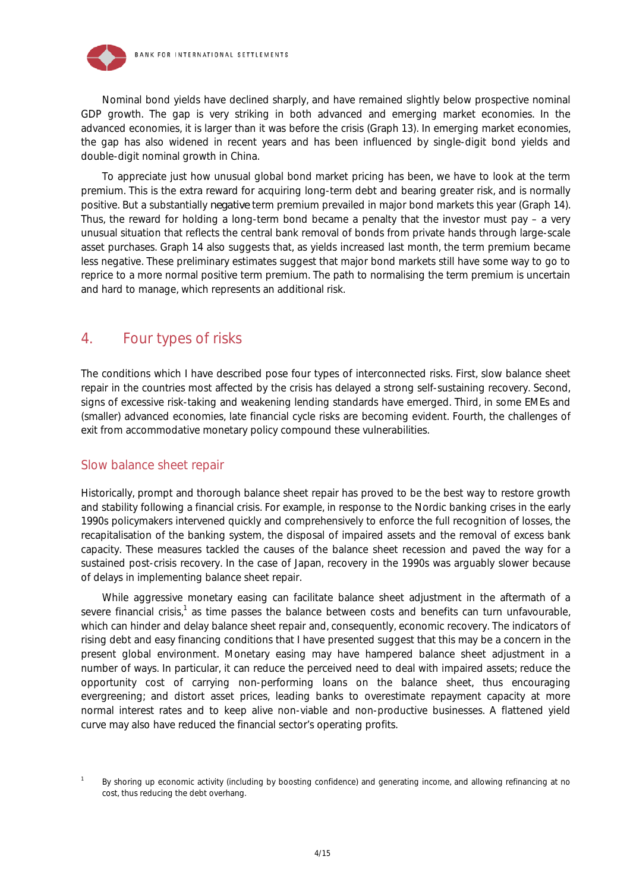

Nominal bond yields have declined sharply, and have remained slightly below prospective nominal GDP growth. The gap is very striking in both advanced and emerging market economies. In the advanced economies, it is larger than it was before the crisis (Graph 13). In emerging market economies, the gap has also widened in recent years and has been influenced by single-digit bond yields and double-digit nominal growth in China.

To appreciate just how unusual global bond market pricing has been, we have to look at the term premium. This is the extra reward for acquiring long-term debt and bearing greater risk, and is normally positive. But a substantially *negative* term premium prevailed in major bond markets this year (Graph 14). Thus, the reward for holding a long-term bond became a penalty that the investor must pay – a very unusual situation that reflects the central bank removal of bonds from private hands through large-scale asset purchases. Graph 14 also suggests that, as yields increased last month, the term premium became less negative. These preliminary estimates suggest that major bond markets still have some way to go to reprice to a more normal positive term premium. The path to normalising the term premium is uncertain and hard to manage, which represents an additional risk.

# 4. Four types of risks

The conditions which I have described pose four types of interconnected risks. First, slow balance sheet repair in the countries most affected by the crisis has delayed a strong self-sustaining recovery. Second, signs of excessive risk-taking and weakening lending standards have emerged. Third, in some EMEs and (smaller) advanced economies, late financial cycle risks are becoming evident. Fourth, the challenges of exit from accommodative monetary policy compound these vulnerabilities.

#### Slow balance sheet repair

Historically, prompt and thorough balance sheet repair has proved to be the best way to restore growth and stability following a financial crisis. For example, in response to the Nordic banking crises in the early 1990s policymakers intervened quickly and comprehensively to enforce the full recognition of losses, the recapitalisation of the banking system, the disposal of impaired assets and the removal of excess bank capacity. These measures tackled the causes of the balance sheet recession and paved the way for a sustained post-crisis recovery. In the case of Japan, recovery in the 1990s was arguably slower because of delays in implementing balance sheet repair.

While aggressive monetary easing can facilitate balance sheet adjustment in the aftermath of a severe financial crisis,<sup>1</sup> as time passes the balance between costs and benefits can turn unfavourable, which can hinder and delay balance sheet repair and, consequently, economic recovery. The indicators of rising debt and easy financing conditions that I have presented suggest that this may be a concern in the present global environment. Monetary easing may have hampered balance sheet adjustment in a number of ways. In particular, it can reduce the perceived need to deal with impaired assets; reduce the opportunity cost of carrying non-performing loans on the balance sheet, thus encouraging evergreening; and distort asset prices, leading banks to overestimate repayment capacity at more normal interest rates and to keep alive non-viable and non-productive businesses. A flattened yield curve may also have reduced the financial sector's operating profits.

<sup>1</sup> By shoring up economic activity (including by boosting confidence) and generating income, and allowing refinancing at no cost, thus reducing the debt overhang.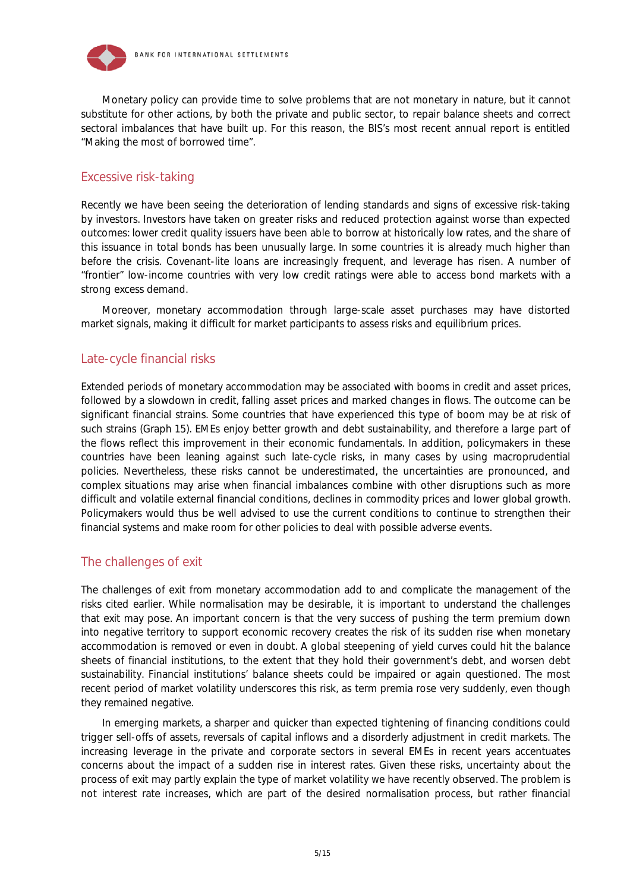

Monetary policy can provide time to solve problems that are not monetary in nature, but it cannot substitute for other actions, by both the private and public sector, to repair balance sheets and correct sectoral imbalances that have built up. For this reason, the BIS's most recent annual report is entitled "Making the most of borrowed time".

#### Excessive risk-taking

Recently we have been seeing the deterioration of lending standards and signs of excessive risk-taking by investors. Investors have taken on greater risks and reduced protection against worse than expected outcomes: lower credit quality issuers have been able to borrow at historically low rates, and the share of this issuance in total bonds has been unusually large. In some countries it is already much higher than before the crisis. Covenant-lite loans are increasingly frequent, and leverage has risen. A number of "frontier" low-income countries with very low credit ratings were able to access bond markets with a strong excess demand.

Moreover, monetary accommodation through large-scale asset purchases may have distorted market signals, making it difficult for market participants to assess risks and equilibrium prices.

#### Late-cycle financial risks

Extended periods of monetary accommodation may be associated with booms in credit and asset prices, followed by a slowdown in credit, falling asset prices and marked changes in flows. The outcome can be significant financial strains. Some countries that have experienced this type of boom may be at risk of such strains (Graph 15). EMEs enjoy better growth and debt sustainability, and therefore a large part of the flows reflect this improvement in their economic fundamentals. In addition, policymakers in these countries have been leaning against such late-cycle risks, in many cases by using macroprudential policies. Nevertheless, these risks cannot be underestimated, the uncertainties are pronounced, and complex situations may arise when financial imbalances combine with other disruptions such as more difficult and volatile external financial conditions, declines in commodity prices and lower global growth. Policymakers would thus be well advised to use the current conditions to continue to strengthen their financial systems and make room for other policies to deal with possible adverse events.

#### The challenges of exit

The challenges of exit from monetary accommodation add to and complicate the management of the risks cited earlier. While normalisation may be desirable, it is important to understand the challenges that exit may pose. An important concern is that the very success of pushing the term premium down into negative territory to support economic recovery creates the risk of its sudden rise when monetary accommodation is removed or even in doubt. A global steepening of yield curves could hit the balance sheets of financial institutions, to the extent that they hold their government's debt, and worsen debt sustainability. Financial institutions' balance sheets could be impaired or again questioned. The most recent period of market volatility underscores this risk, as term premia rose very suddenly, even though they remained negative.

In emerging markets, a sharper and quicker than expected tightening of financing conditions could trigger sell-offs of assets, reversals of capital inflows and a disorderly adjustment in credit markets. The increasing leverage in the private and corporate sectors in several EMEs in recent years accentuates concerns about the impact of a sudden rise in interest rates. Given these risks, uncertainty about the process of exit may partly explain the type of market volatility we have recently observed. The problem is not interest rate increases, which are part of the desired normalisation process, but rather financial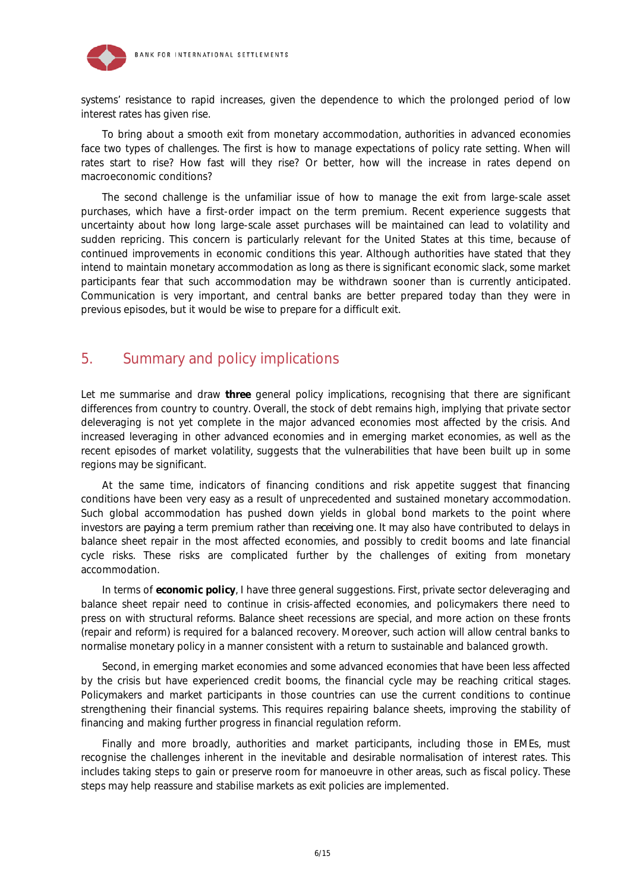

systems' resistance to rapid increases, given the dependence to which the prolonged period of low interest rates has given rise.

To bring about a smooth exit from monetary accommodation, authorities in advanced economies face two types of challenges. The first is how to manage expectations of policy rate setting. When will rates start to rise? How fast will they rise? Or better, how will the increase in rates depend on macroeconomic conditions?

The second challenge is the unfamiliar issue of how to manage the exit from large-scale asset purchases, which have a first-order impact on the term premium. Recent experience suggests that uncertainty about how long large-scale asset purchases will be maintained can lead to volatility and sudden repricing. This concern is particularly relevant for the United States at this time, because of continued improvements in economic conditions this year. Although authorities have stated that they intend to maintain monetary accommodation as long as there is significant economic slack, some market participants fear that such accommodation may be withdrawn sooner than is currently anticipated. Communication is very important, and central banks are better prepared today than they were in previous episodes, but it would be wise to prepare for a difficult exit.

# 5. Summary and policy implications

Let me summarise and draw *three* general policy implications, recognising that there are significant differences from country to country. Overall, the stock of debt remains high, implying that private sector deleveraging is not yet complete in the major advanced economies most affected by the crisis. And increased leveraging in other advanced economies and in emerging market economies, as well as the recent episodes of market volatility, suggests that the vulnerabilities that have been built up in some regions may be significant.

At the same time, indicators of financing conditions and risk appetite suggest that financing conditions have been very easy as a result of unprecedented and sustained monetary accommodation. Such global accommodation has pushed down yields in global bond markets to the point where investors are *paying* a term premium rather than *receiving* one. It may also have contributed to delays in balance sheet repair in the most affected economies, and possibly to credit booms and late financial cycle risks. These risks are complicated further by the challenges of exiting from monetary accommodation.

In terms of *economic policy*, I have three general suggestions. First, private sector deleveraging and balance sheet repair need to continue in crisis-affected economies, and policymakers there need to press on with structural reforms. Balance sheet recessions are special, and more action on these fronts (repair and reform) is required for a balanced recovery. Moreover, such action will allow central banks to normalise monetary policy in a manner consistent with a return to sustainable and balanced growth.

Second, in emerging market economies and some advanced economies that have been less affected by the crisis but have experienced credit booms, the financial cycle may be reaching critical stages. Policymakers and market participants in those countries can use the current conditions to continue strengthening their financial systems. This requires repairing balance sheets, improving the stability of financing and making further progress in financial regulation reform.

Finally and more broadly, authorities and market participants, including those in EMEs, must recognise the challenges inherent in the inevitable and desirable normalisation of interest rates. This includes taking steps to gain or preserve room for manoeuvre in other areas, such as fiscal policy. These steps may help reassure and stabilise markets as exit policies are implemented.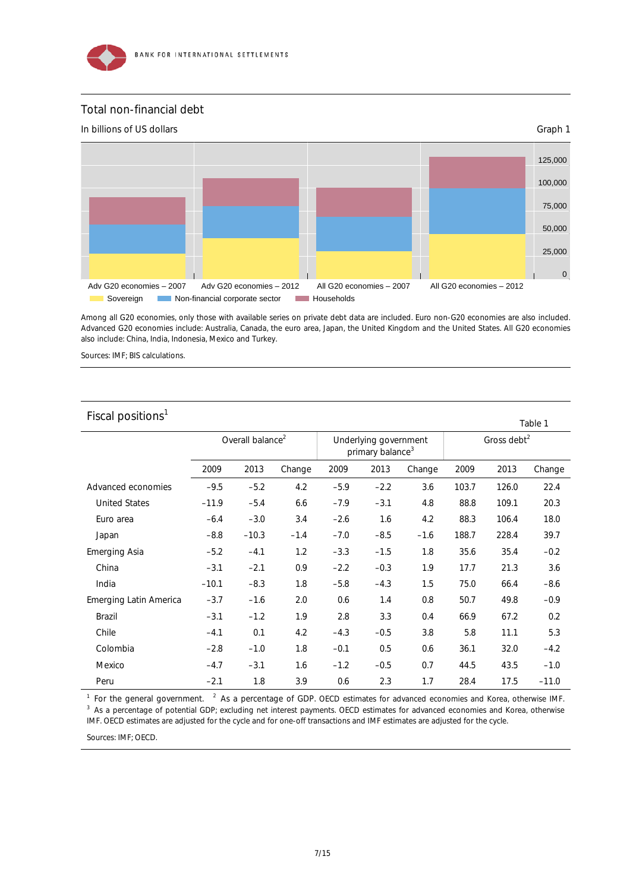

#### Total non-financial debt



Among all G20 economies, only those with available series on private debt data are included. Euro non-G20 economies are also included. Advanced G20 economies include: Australia, Canada, the euro area, Japan, the United Kingdom and the United States. All G20 economies also include: China, India, Indonesia, Mexico and Turkey.

Sources: IMF; BIS calculations.

#### Fiscal positions $<sup>1</sup>$ </sup>

|                               |                              |         |        |                                                       |        |        |                         |       | Table 1 |  |
|-------------------------------|------------------------------|---------|--------|-------------------------------------------------------|--------|--------|-------------------------|-------|---------|--|
|                               | Overall balance <sup>2</sup> |         |        | Underlying government<br>primary balance <sup>3</sup> |        |        | Gross debt <sup>2</sup> |       |         |  |
|                               | 2009                         | 2013    | Change | 2009                                                  | 2013   | Change | 2009                    | 2013  | Change  |  |
| Advanced economies            | $-9.5$                       | $-5.2$  | 4.2    | $-5.9$                                                | $-2.2$ | 3.6    | 103.7                   | 126.0 | 22.4    |  |
| <b>United States</b>          | $-11.9$                      | $-5.4$  | 6.6    | $-7.9$                                                | $-3.1$ | 4.8    | 88.8                    | 109.1 | 20.3    |  |
| Euro area                     | $-6.4$                       | $-3.0$  | 3.4    | $-2.6$                                                | 1.6    | 4.2    | 88.3                    | 106.4 | 18.0    |  |
| Japan                         | $-8.8$                       | $-10.3$ | $-1.4$ | $-7.0$                                                | $-8.5$ | $-1.6$ | 188.7                   | 228.4 | 39.7    |  |
| <b>Emerging Asia</b>          | $-5.2$                       | $-4.1$  | 1.2    | $-3.3$                                                | $-1.5$ | 1.8    | 35.6                    | 35.4  | $-0.2$  |  |
| China                         | $-3.1$                       | $-2.1$  | 0.9    | $-2.2$                                                | $-0.3$ | 1.9    | 17.7                    | 21.3  | 3.6     |  |
| India                         | $-10.1$                      | $-8.3$  | 1.8    | $-5.8$                                                | $-4.3$ | 1.5    | 75.0                    | 66.4  | $-8.6$  |  |
| <b>Emerging Latin America</b> | $-3.7$                       | $-1.6$  | 2.0    | 0.6                                                   | 1.4    | 0.8    | 50.7                    | 49.8  | $-0.9$  |  |
| Brazil                        | $-3.1$                       | $-1.2$  | 1.9    | 2.8                                                   | 3.3    | 0.4    | 66.9                    | 67.2  | 0.2     |  |
| Chile                         | $-4.1$                       | 0.1     | 4.2    | $-4.3$                                                | $-0.5$ | 3.8    | 5.8                     | 11.1  | 5.3     |  |
| Colombia                      | $-2.8$                       | $-1.0$  | 1.8    | $-0.1$                                                | 0.5    | 0.6    | 36.1                    | 32.0  | $-4.2$  |  |
| Mexico                        | $-4.7$                       | $-3.1$  | 1.6    | $-1.2$                                                | $-0.5$ | 0.7    | 44.5                    | 43.5  | $-1.0$  |  |
| Peru                          | $-2.1$                       | 1.8     | 3.9    | 0.6                                                   | 2.3    | 1.7    | 28.4                    | 17.5  | $-11.0$ |  |

<sup>1</sup> For the general government. <sup>2</sup> As a percentage of GDP. OECD estimates for advanced economies and Korea, otherwise IMF.<br><sup>3</sup> As a percentage of potential CDP: excluding net interest payments. OECD estimates for advance <sup>3</sup> As a percentage of potential GDP; excluding net interest payments. OECD estimates for advanced economies and Korea, otherwise IMF. OECD estimates are adjusted for the cycle and for one-off transactions and IMF estimates are adjusted for the cycle.

Sources: IMF; OECD.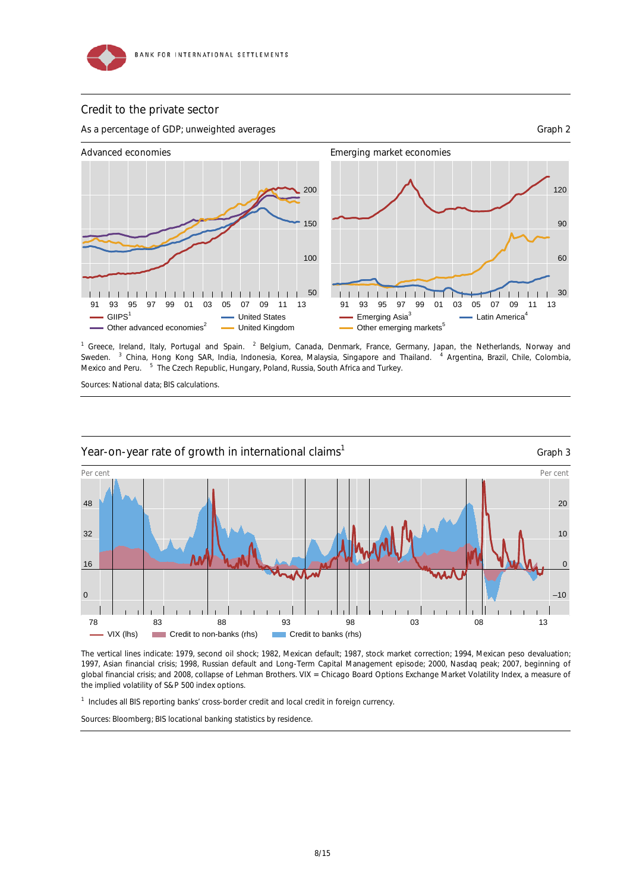

#### Credit to the private sector



<sup>1</sup> Greece, Ireland, Italy, Portugal and Spain. <sup>2</sup> Belgium, Canada, Denmark, France, Germany, Japan, the Netherlands, Norway and Sweden. China, Hong Kong SAR, India, Indonesia, Korea, Malaysia, Singapore and Thailand. <sup>4</sup> Argentina, Brazil, Chile, Colombia, Mexico and Peru. <sup>5</sup> The Czech Republic, Hungary, Poland, Russia, South Africa and Turkey.

Sources: National data; BIS calculations.



The vertical lines indicate: 1979, second oil shock; 1982, Mexican default; 1987, stock market correction; 1994, Mexican peso devaluation; 1997, Asian financial crisis; 1998, Russian default and Long-Term Capital Management episode; 2000, Nasdaq peak; 2007, beginning of global financial crisis; and 2008, collapse of Lehman Brothers. VIX = Chicago Board Options Exchange Market Volatility Index, a measure of the implied volatility of S&P 500 index options.

<sup>1</sup> Includes all BIS reporting banks' cross-border credit and local credit in foreign currency.

Sources: Bloomberg; BIS locational banking statistics by residence.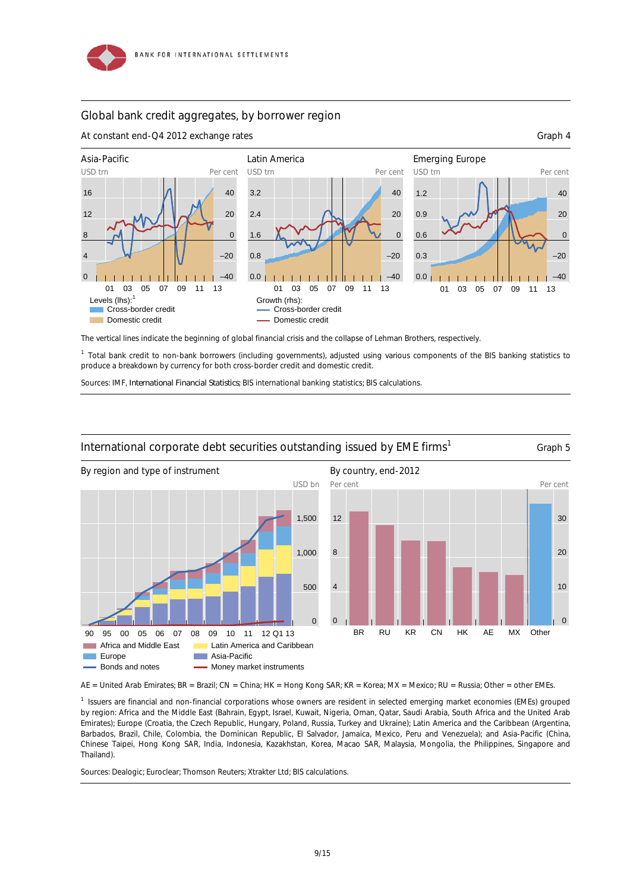#### Global bank credit aggregates, by borrower region

At constant end-Q4 2012 exchange rates Graph 4





The vertical lines indicate the beginning of global financial crisis and the collapse of Lehman Brothers, respectively.

<sup>1</sup> Total bank credit to non-bank borrowers (including governments), adjusted using various components of the BIS banking statistics to produce a breakdown by currency for both cross-border credit and domestic credit.

Sources: IMF, *International Financial Statistics*; BIS international banking statistics; BIS calculations.



#### International corporate debt securities outstanding issued by EME firms<sup>1</sup> Graph 5

AE = United Arab Emirates; BR = Brazil; CN = China; HK = Hong Kong SAR; KR = Korea; MX = Mexico; RU = Russia; Other = other EMEs.

1 Issuers are financial and non-financial corporations whose owners are resident in selected emerging market economies (EMEs) grouped by region: Africa and the Middle East (Bahrain, Egypt, Israel, Kuwait, Nigeria, Oman, Qatar, Saudi Arabia, South Africa and the United Arab Emirates); Europe (Croatia, the Czech Republic, Hungary, Poland, Russia, Turkey and Ukraine); Latin America and the Caribbean (Argentina, Barbados, Brazil, Chile, Colombia, the Dominican Republic, El Salvador, Jamaica, Mexico, Peru and Venezuela); and Asia-Pacific (China, Chinese Taipei, Hong Kong SAR, India, Indonesia, Kazakhstan, Korea, Macao SAR, Malaysia, Mongolia, the Philippines, Singapore and Thailand).

Sources: Dealogic; Euroclear; Thomson Reuters; Xtrakter Ltd; BIS calculations.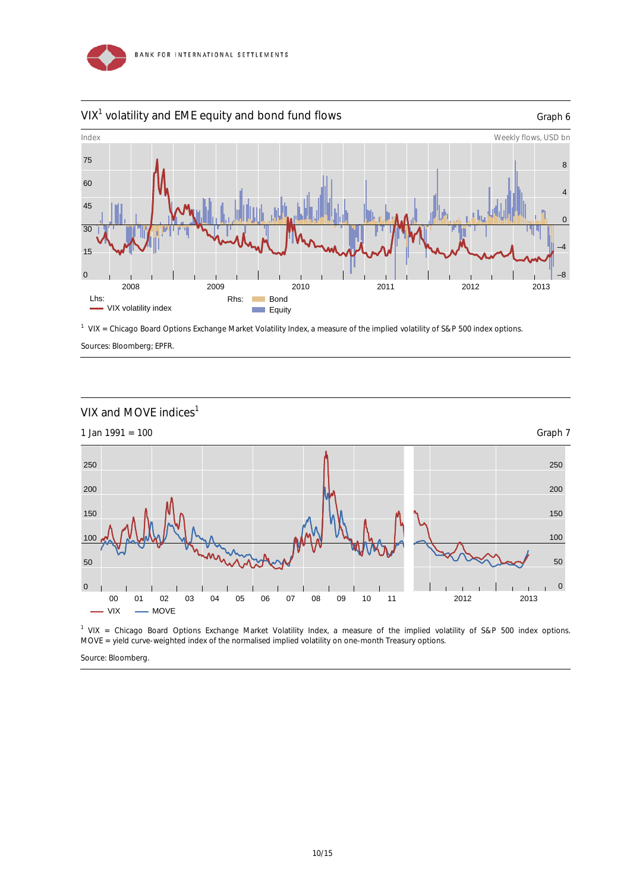

### $VIX<sup>1</sup>$  volatility and EME equity and bond fund flows  $G$  and  $G$  and  $G$  and  $G$



<sup>1</sup> VIX = Chicago Board Options Exchange Market Volatility Index, a measure of the implied volatility of S&P 500 index options. Sources: Bloomberg; EPFR.



<sup>1</sup> VIX = Chicago Board Options Exchange Market Volatility Index, a measure of the implied volatility of S&P 500 index options. MOVE = yield curve-weighted index of the normalised implied volatility on one-month Treasury options.

Source: Bloomberg.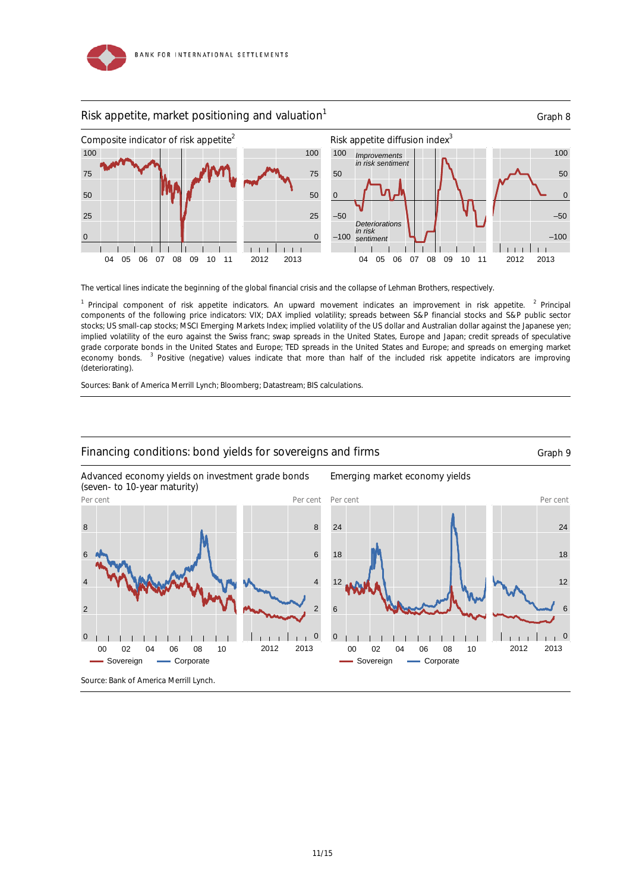



The vertical lines indicate the beginning of the global financial crisis and the collapse of Lehman Brothers, respectively.

<sup>1</sup> Principal component of risk appetite indicators. An upward movement indicates an improvement in risk appetite. <sup>2</sup> Principal components of the following price indicators: VIX; DAX implied volatility; spreads between S&P financial stocks and S&P public sector stocks; US small-cap stocks; MSCI Emerging Markets Index; implied volatility of the US dollar and Australian dollar against the Japanese yen; implied volatility of the euro against the Swiss franc; swap spreads in the United States, Europe and Japan; credit spreads of speculative grade corporate bonds in the United States and Europe; TED spreads in the United States and Europe; and spreads on emerging market economy bonds. <sup>3</sup> Positive (negative) values indicate that more than half of the included risk appetite indicators are improving (deteriorating).

Sources: Bank of America Merrill Lynch; Bloomberg; Datastream; BIS calculations.



11/15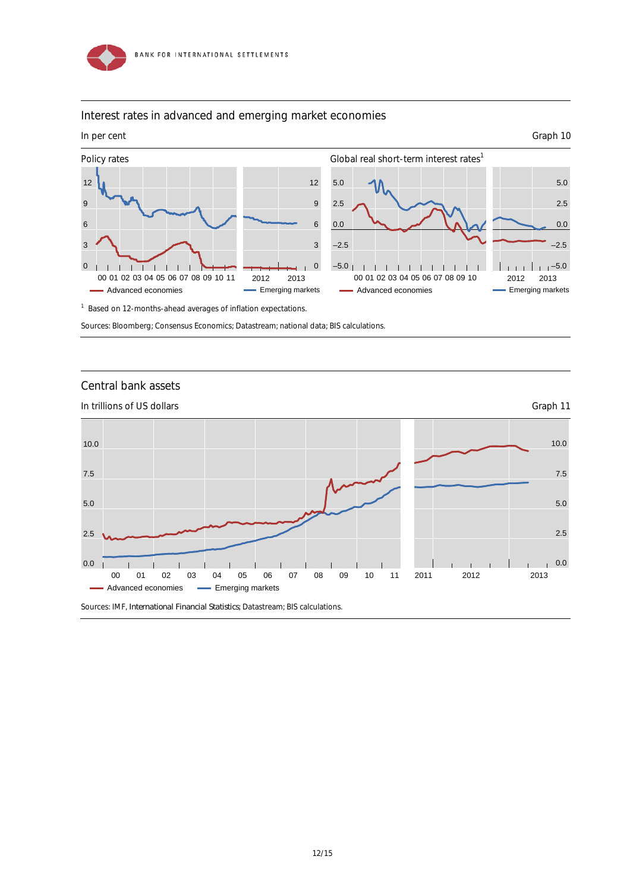

#### Interest rates in advanced and emerging market economies



<sup>1</sup> Based on 12-months-ahead averages of inflation expectations.

Sources: Bloomberg; Consensus Economics; Datastream; national data; BIS calculations.

#### Central bank assets



12/15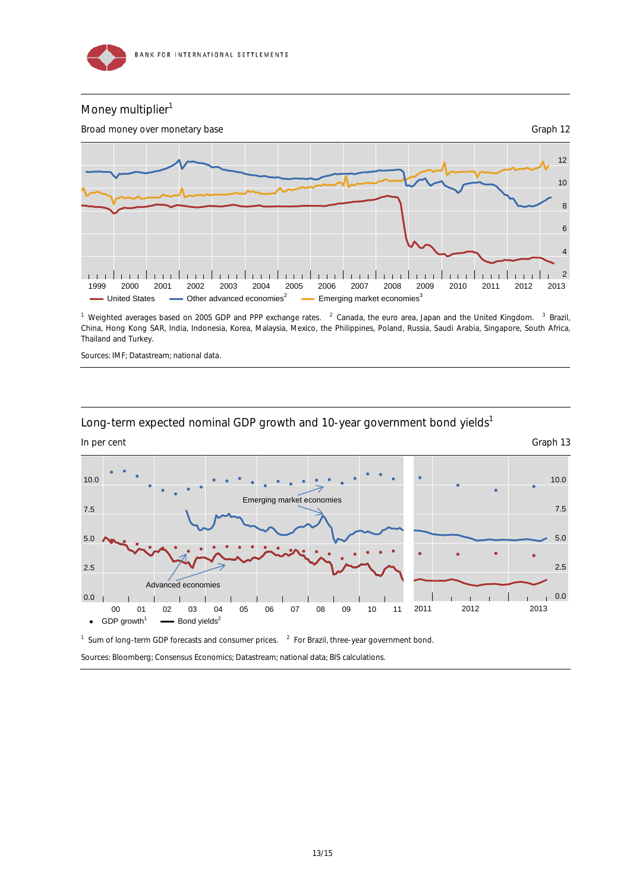

#### Money multiplier<sup>1</sup>



<sup>1</sup> Weighted averages based on 2005 GDP and PPP exchange rates. <sup>2</sup> Canada, the euro area, Japan and the United Kingdom. <sup>3</sup> Brazil, China, Hong Kong SAR, India, Indonesia, Korea, Malaysia, Mexico, the Philippines, Poland, Russia, Saudi Arabia, Singapore, South Africa, Thailand and Turkey.

Sources: IMF; Datastream; national data.

#### Long-term expected nominal GDP growth and 10-year government bond yields<sup>1</sup>



<sup>1</sup> Sum of long-term GDP forecasts and consumer prices.  $2$  For Brazil, three-year government bond.

Sources: Bloomberg; Consensus Economics; Datastream; national data; BIS calculations.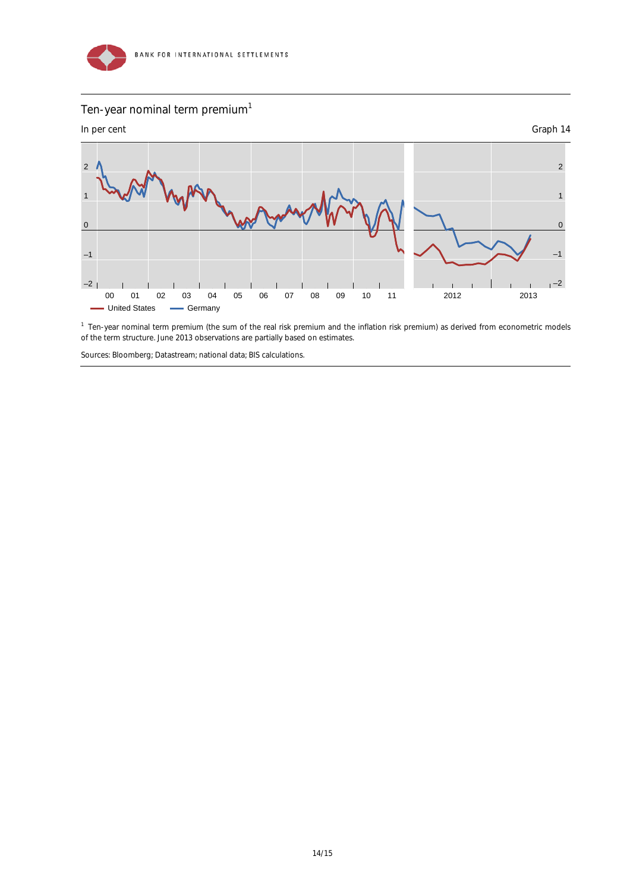

## Ten-year nominal term premium<sup>1</sup>



<sup>1</sup> Ten-year nominal term premium (the sum of the real risk premium and the inflation risk premium) as derived from econometric models of the term structure. June 2013 observations are partially based on estimates.

Sources: Bloomberg; Datastream; national data; BIS calculations.